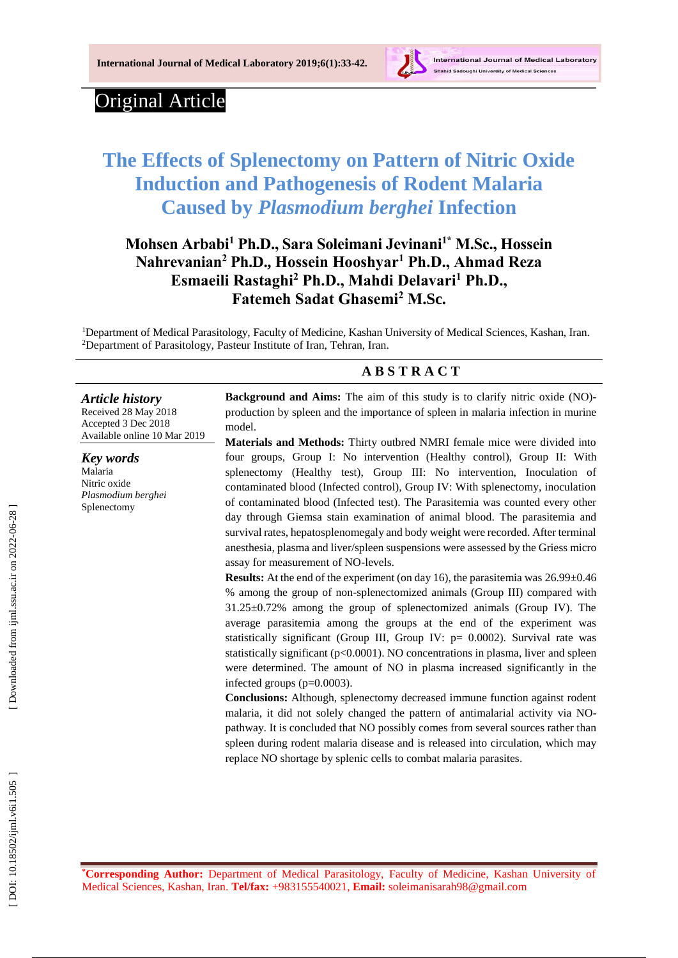

## Original Article

*Article history* Received 2 8 May 201 8 Accepted 3 Dec 201 8 Available online 10 Mar 201 9

*Key words* Malaria Nitric oxide *Plasmodium berghei* Splenectomy

# **The Effects of Splenectomy on Pattern of Nitric Oxide Induction and Pathogenesis of Rodent Malaria Caused by** *Plasmodium berghei* **Infection**

## **Mohsen Arbabi <sup>1</sup> Ph.D., Sara Soleimani Jevinani 1 \* M.Sc., Hossein Nahrevanian <sup>2</sup> Ph.D., Hossein Hooshyar <sup>1</sup> Ph.D., Ahmad Reza Esmaeili Rastaghi <sup>2</sup> Ph.D., Mahdi Delavari <sup>1</sup> Ph.D., Fatemeh Sadat Ghasemi 2 M.Sc.**

<sup>1</sup>Department of Medical Parasitology, Faculty of Medicine, Kashan University of Medical Sciences, Kashan, Iran. <sup>2</sup>Department of Parasitology, Pasteur Institute of Iran, Tehran, Iran.

## **A B S T R A C T**

Background and Aims: The aim of this study is to clarify nitric oxide (NO)production by spleen and the importance of spleen in malari a infection in murine model.

**Materials and Methods:** Thirty outbred NMRI female mice were divided into four groups, Group I: No intervention (Healthy control), Group II: With splenectomy (Healthy test), Group III: No intervention, Inoculation of contaminated blood (Infected control), Group IV: With splenectomy, inoculation of contaminated blood (Infected test). The Parasitemia was counted every other day through Gi emsa stain examination of animal blood . The parasitemia and survival rates, hepatosplenomegaly and body weight were recorded. After terminal anesthesia, plasma and liver/spleen suspensions were assessed by the Griess micro assay for measurement of NO -levels.

**Results:** At the end of the experiment (on day 16), the parasitemia was  $26.99\pm0.46$ % among the group of non -splenectomized animals (Group III) compare d with 31.25±0.72% among the group of splenectomized animals (Group IV). The average parasitemia among the groups at the end of the experiment was statistically significant (Group III, Group IV: p= 0.0002). Survival rate was statistically significant (p<0.0001). NO concentrations in plasma, liver and spleen were determined. The amount of NO in plasma increased significantly in the infected groups ( p=0.0003).

**Conclusions:** Although, splenectomy decreased immune function against rodent malaria, it did not solely changed the pattern of antimalarial activity via NO pathway. It is concluded that NO possibly comes from several sources rather than spleen during rodent malaria disease and is release d into circulation, which may replace NO shortage by splenic cells to combat malaria parasites .

**\*Corresponding Author:** Department of Medical Parasitology, Faculty of Medicine, Kashan University of Medical Sciences, Kashan, Iran. **Tel/fax :** +983155540021, **Email:** soleimanisarah98@gmail.com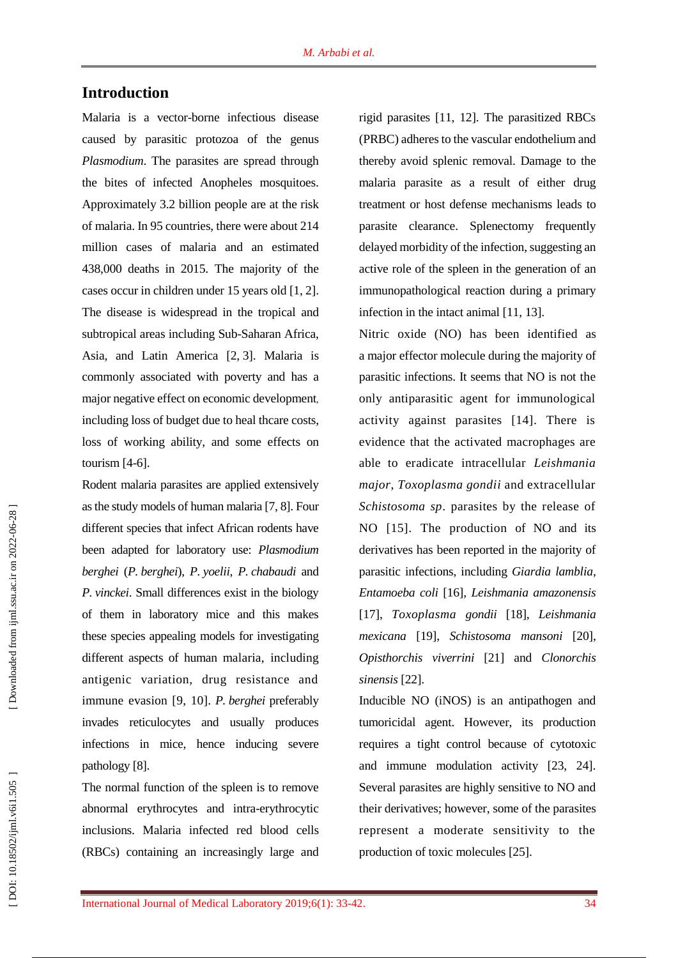## **Introduction**

Malaria is a vector [-borne infectious disease](https://en.wikipedia.org/wiki/Mosquito-borne_disease) caused by parasitic [protozoa](https://en.wikipedia.org/wiki/Protozoa) of the genus *Plasmodium*. The parasites are spread through the bites of infected Anopheles mosquitoes. Approximately 3.2 billion people are at the risk of malaria. In 95 countries, there were about 214 million cases of malaria and an estimated 438,000 deaths in 2015. The majority of the cases occur in children under 15 years old [1, 2]. The disease is widespread in the [tropical](https://en.wikipedia.org/wiki/Tropics) and [subtropical](https://en.wikipedia.org/wiki/Subtropical) areas including Sub [-Saharan Africa,](https://en.wikipedia.org/wiki/Sub-Saharan_Africa) [Asia,](https://en.wikipedia.org/wiki/Asia) and [Latin America](https://en.wikipedia.org/wiki/Latin_America) [2, 3]. Malaria is commonly associated with poverty and has a major negative effect on [economic development](https://en.wikipedia.org/wiki/Economic_development) , including loss of budget due to heal thcare costs, loss of working ability, and some effects on tourism [4 -6].

Rodent malaria parasites are applied extensively as the study models of human malaria [7, 8]. Four different species that infect African rodents have been adapted for laboratory use: *Plasmodium berghei* (*P. berghei* ), *P. yoelii*, *P. chabaudi* and *P. vinckei*. Small differences exist in the biology of them in laboratory mice and this makes these species appealing models for investigating different aspects of human malaria , including antigenic variation, drug resistance and immune evasion [9, 10]. *P. berghei* preferably invades reticulocytes and usually produces infections in mice , hence inducing severe pathology [8].

The normal function of the spleen is to remove abnormal erythrocytes and intra -erythrocytic inclusions. Malaria infected red blood cells (RBCs) containing an increasingly large and

rigid parasite s [11, 12]. The parasitized RBCs (PRBC) adhere sto the vascular endothelium and thereby avoid splenic removal. Damage to the malaria parasite as a result of either drug treatment or host defense mechanisms leads to parasite clearance. Splenectomy frequently delayed morbidity of the infection, suggesting an active role of the spleen in the generation of a n immunopathological reaction during a primary infection in the intact animal [11, 13].

Nitric oxide (NO) has been identified as a major effector molecule during the majority of parasitic infections. It seems that NO is not the only antiparasitic agent for immunological activity against parasites [14]. There is evidence that the activated macrophages are able to eradicate intracellular *Leishmania major*, *Toxoplasma gondii* and extracellular *Schistosoma sp*. parasites by the release of NO [15]. The production of NO and its derivatives ha s been reported in the majority of parasitic infections , including *Giardia lamblia*, *Entamoeba coli* [16], *Leishmania amazonensis*  [17], *Toxoplasma gondii* [18], *Leishmania mexicana* [19], *Schistosoma mansoni* [20], *Opisthorchis viverrini* [21] and *Clonorchis sinensis* [22] .

Inducible NO (iNOS) is an antipathogen and tumoricidal agent. However, its production requires a tight control because of cytotoxic and immune modulation activity [23, 24]. Several parasites are highly sensitive to NO and their derivatives ; however, some of the parasites represent a moderate sensitivity to the production of toxic molecules [25].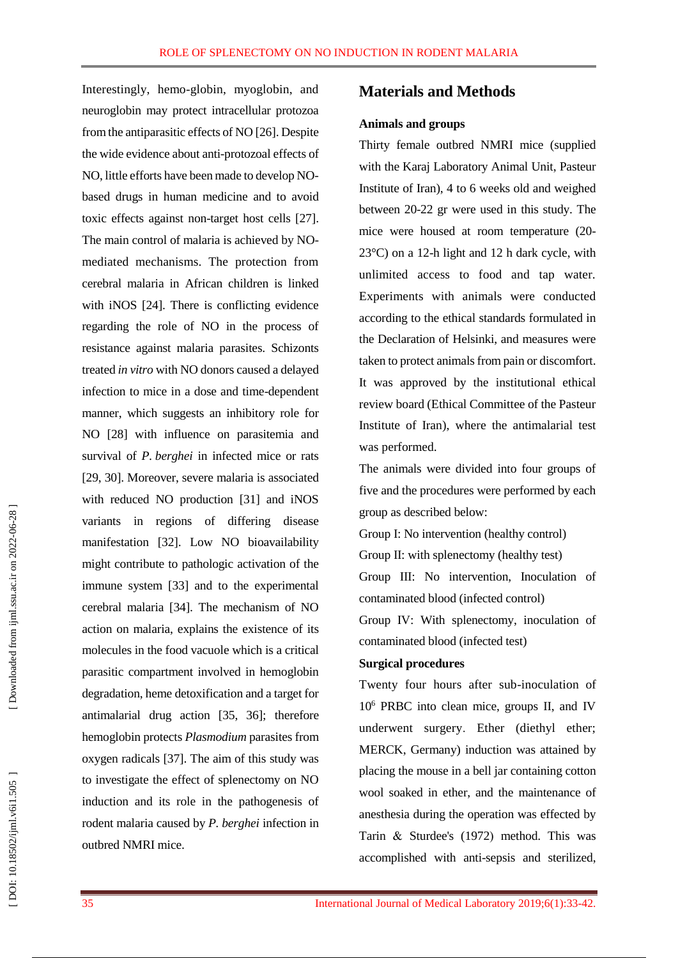Interestingly, hemo -globin, myoglobin, and neuroglobin may protect intracellular protozoa from the antiparasitic effects of NO [26]. Despite the wide evidence about anti -protozoal effects of NO, little efforts have been made to develop NO based drugs in human medicine and to avoid toxic effects against non -target host cells [27]. The main control of malaria is achieved by NO mediated mechanisms. The protection from cerebral malaria in African children is linked with iNOS [24]. There is conflicting evidence regarding the role of NO in the process of resistance against malaria parasites. Schizonts treated *in vitro* with NO donors caused a delayed infection to mice in a dose and time -dependent manner, which suggest s an inhibitory role for NO [28] with influence on parasitemia and survival of *P . berghei* in infected mice or rats [29, 30]. Moreover, severe malaria is associated with reduced NO production [31] and iNOS variants in regions of differing disease manifestation [32]. Low NO bioavailability might contribute to pathologic activation of the immune system [33] and to the experimental cerebral malaria [34]. The mechanism of NO action on malaria, explains the existence of its molecules in the food vacuole which is a critical parasitic compartment involved in hemoglobin degradation, heme detoxification and a target for antimalarial drug action [35, 36 ] ; therefore hemoglobin protects *Plasmodium* parasites from oxygen radicals [37]. The aim of this study was to investigate the effect of splenectomy on NO induction and its role in the pathogenesis of rodent malaria caused by *P . berghei* infection in outbred NMRI mice.

## **Materials and Methods**

#### **Animals and groups**

Thirty female outbred NMRI mice (supplied with the Karaj Laboratory Animal Unit, Pasteur Institute of Iran), 4 to 6 weeks old and weighed between 20 -22 gr were used in this study. The mice were housed at room temperature (20 - 23°C) on a 12 -h light and 12 h dark cycle, with unlimited access to food and tap water. Experiments with animals were conducted according to the ethical standards formulated in the Declaration of Helsinki, and measures were taken to protect animals from pain or discomfort. It was approved by the institutional ethical review board (Ethical Committee of the Pasteur Institute of Iran), where the antimalarial test was performed .

The animals were divided into four groups of five and the procedures were performed by each group as described below:

Group I: No intervention ( healthy control)

Group II: with splenectomy ( healthy test)

Group III: No intervention, Inoculation of contaminated blood ( infected control)

Group IV: With splenectomy, inoculation of contaminated blood ( infected test)

#### **Surgical procedures**

Twenty four hours after sub -inoculation of 10 <sup>6</sup> PRBC into clean mice, groups II, and IV underwent surgery . Ether (diethyl ether; MERCK, Germany) induction was attained by placing the mouse in a bell jar containing cotton wool soaked in ether, and the maintenance of anesthesia during the operation was effected by Tarin & Sturdee's (1972) method. This was accomplished with anti -sepsis and sterilized,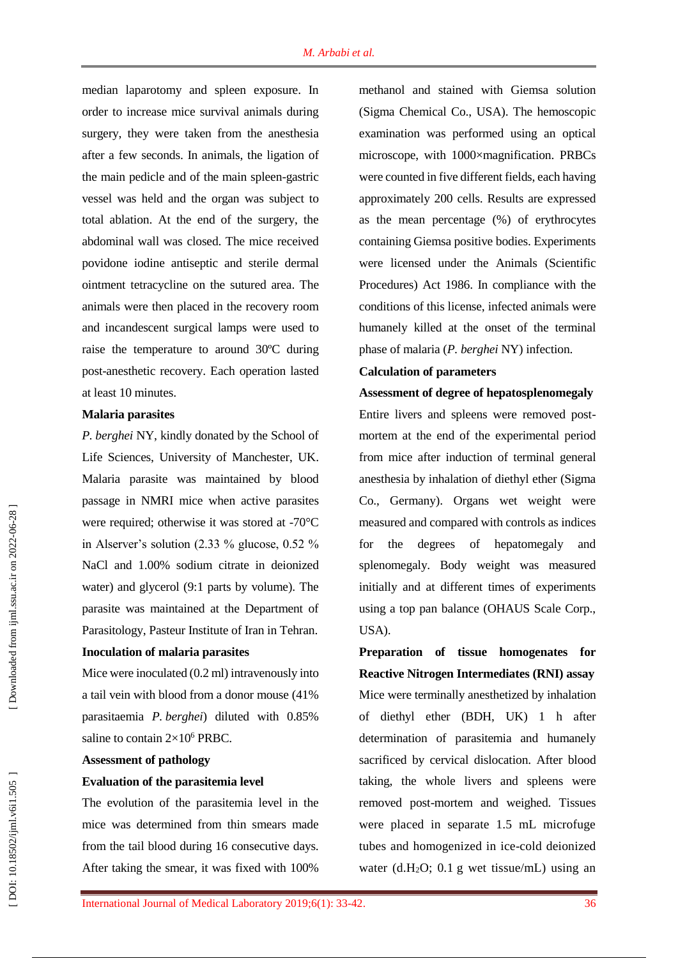median laparotomy and spleen exposure. In order to increase mice survival animals during surgery, they were taken from the anesthesia after a few seconds. In animals, the ligation of the main pedicle and of the main spleen -gastric vessel was held and the organ was subject to total ablation. At the end of the surgery, the abdominal wall was closed. The mice received povidone iodine antiseptic and sterile dermal ointment tetracycline on the sutured area. The animals were then placed in t he recovery room and incandescent surgical lamps were used to raise the temperature to around 30ºC during post -anesthetic recovery. Each operation lasted at least 10 minutes.

#### **Malaria parasites**

*P. berghei* NY, kindly donated by the School of Life Sciences, University of Manchester, UK. Malaria parasite was maintained by blood passage in NMRI mice when active parasites were required; otherwise it was stored at -70°C in Alserver's solution (2.33 % glucose, 0.52 % NaC l and 1.00% sodium citrate in deioni zed water) and glycerol (9:1 parts by volume). The parasite was maintained at the Department of Parasitology, Pasteur Institute of Iran in Tehran.

#### **Inoculation of malaria parasites**

Mice were inoculated (0.2 ml) intravenously into a tail vein with blood from a donor mouse (41% parasitaemia *P . berghei*) diluted with 0.85% saline to contain  $2\times10^6$  PRBC.

#### **Assessment of pathology**

#### **Evaluation of the parasitemia level**

The evolution of the parasitemia level in the mice was determined from thin smears made from the tail blood during 16 consecutive days. After taking the smear, it was fixed with 100% methanol and stained with Giemsa solution (Sigma Chemical Co., USA). The hemoscopic examination was performed using an optical microscope, with 1000×magnification. PRBCs were counted in five different fields, each having approximately 200 cells. Results are expressed as the mean percentage (%) of erythrocytes containing Gi emsa positive bodies. Experiments were licensed under the Animals (Scientific Procedures) Act 1986. In compliance with the conditions of this license, infected animals were humanely killed at the onset of the terminal phase of malaria ( *P . berghei* NY) infection.

#### **Calculation of parameters**

**Assessment of degree of hepatosplenomegaly** Entire livers and spleens were removed post mortem at the end of the experimental period from mice after induction of terminal general anesthesia by inhalation of diethyl ether (Sigma Co., Germany). Organs wet weight were measured and compared with controls as indices for the degrees of hepatomegaly and splenomegaly. Body weight was measured initially and at different times of experiments using a top pan balance (OHAUS Scale Corp., USA).

**Preparation of tissue homogenates for Reactive Nitrogen Intermediates (RNI ) assay** Mice were terminally anestheti zed by inhalation of diethyl ether (BDH, UK) 1 h after determination of parasitemia and humanely sacrificed by cervical dislocation. After blood taking, the whole livers and spleens were removed post -mortem and weighed. Tissues were placed in separate 1.5 mL microfuge tubes and homogeni zed in ice -cold deioni zed water (d.H <sup>2</sup>O; 0.1 g wet tissue/mL) using an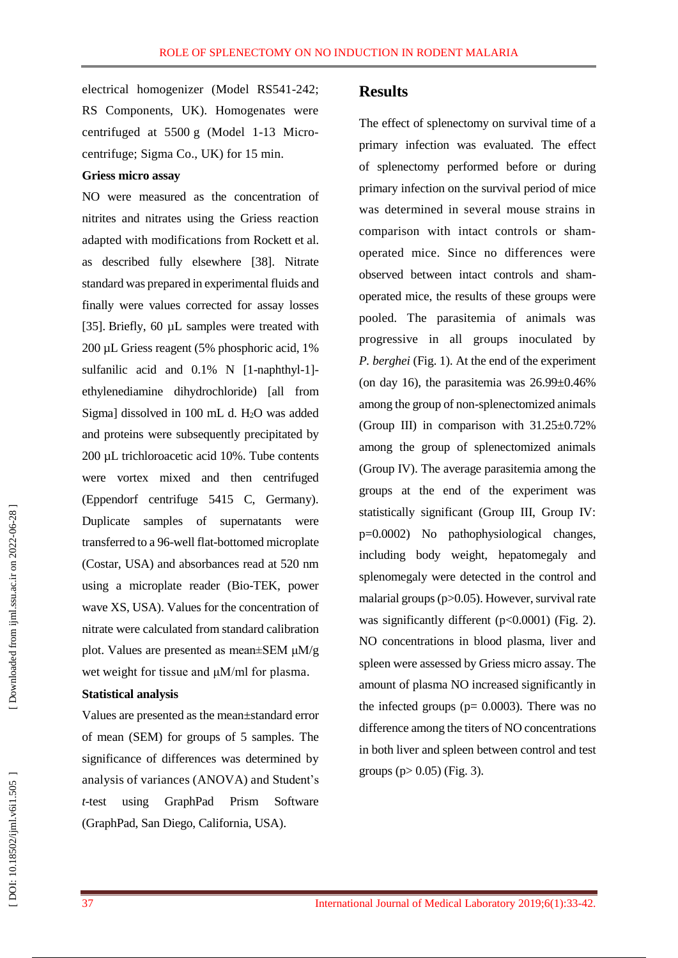electrical homogeni zer (Model RS541 -242; RS Components, UK). Homogenates were centrifuged at 5500 g (Model 1 -13 Micro centrifuge; Sigma Co., UK) for 15 min.

#### **Griess micro assay**

NO were measured as the concentration of nitrites and nitrates using the Griess reaction adapted with modifications from Rockett et al. as described fully elsewhere [38]. Nitrate standard was prepared in experimental fluids and finally were values corrected for assay losses [35] . Briefly, 60 µL samples were treated with 200 µL Griess reagent (5% phosphoric acid, 1% sulfanilic acid and 0.1% N [1-naphthyl-1]ethylenediamine dihydrochloride) [all from Sigma] dissolved in 100 mL d. H <sup>2</sup>O was added and proteins were subsequently precipitated by 200 µL trichloroacetic acid 10%. Tube contents were vortex mixed and then centrifuged (Eppendorf centrifuge 5415 C, Germany). Duplicate samples of supernatants were transferred to a 96 -well flat -bottomed microplate (Costar, USA) and absorbances read at 520 nm using a microplate reader (Bio -TEK, power wave XS, USA). Values for the concentration of nitrate were calculated from standard calibration plot. Values are presented as mean±SEM μM/g wet weight for tissue and μM/ml for plasma.

#### **Statistical analysis**

Values are presented as the mean±standard error of mean (SEM ) for groups of 5 samples. The significance of differences was determined by analysis of variances (ANOVA) and Student's *t*-test using GraphPad Prism Software (GraphPad, San Diego, California, USA).

## **Results**

The effect of splenectomy on survival time of a primary infection was evaluated. The effect of splenectomy performed before or during primary infection on the survival period of mice was determined in several mouse strains in comparison with intact controls or sham operated mice. Since no differences were observed between intact controls and sham operated mice, the results of these groups were pooled. The parasitemia of animals was progressive in all groups inoculated by *P. berghei* (Fig. 1). At the end of the experiment (on day 16), the parasitemia was  $26.99\pm0.46\%$ among the group of non -splenectomized animals (Group III) in comparison with  $31.25\pm0.72\%$ among the group of splenectomized animals (Group IV). The average parasitemia among the groups at the end of the experiment was statistically significant (Group III, Group IV:<br>p=0.0002) No pathophysiological changes, including body weight, hepatomegaly and splenomegaly were detected in the control and malarial groups (p>0.05). However, survival rate was significantly different (p<0.0001) (Fig. 2). NO concentrations in blood plasma, liver and spleen were assessed by Griess micro assay. The amount of plasma NO increased significantly in the infected groups ( $p = 0.0003$ ). There was no difference among the titers of NO concentrations in both liver and spleen between control and test groups (p> 0.05) (Fig . 3).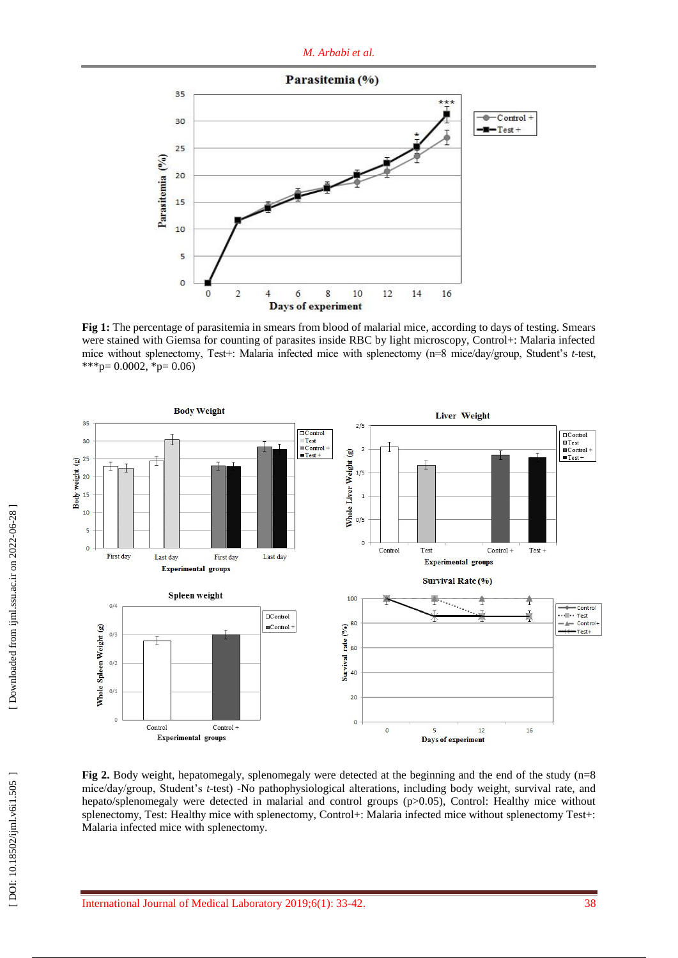

**Fig 1:** The percentage of parasitemia in smears from blood of malarial mice , according to days of testing. Smears were stained with Giemsa for counting of parasites inside RBC by light microscopy, Control+: Malaria infected mice without splenectomy, Test+: Malaria infected mice with splenectomy (n=8 mice/day/group, Student's t-test, \*\*\* p=  $0.0002$ , \* p=  $0.06$ )



**Fig 2.** Body weight, hepatomegaly, splenomegaly were detected at the beginning and the end of the study (n=8) mice/day/group, Student's *t*-test) -No pathophysiological alterations, including body weight, survival rate, and hepato/splenomegaly were detected in malarial and control groups (p>0.05), Control: Healthy mice without splenectomy, Test: Healthy mice with splenectomy, Control+: Malaria infected mice without splenectomy Test+: Malaria infected mice with splenectomy.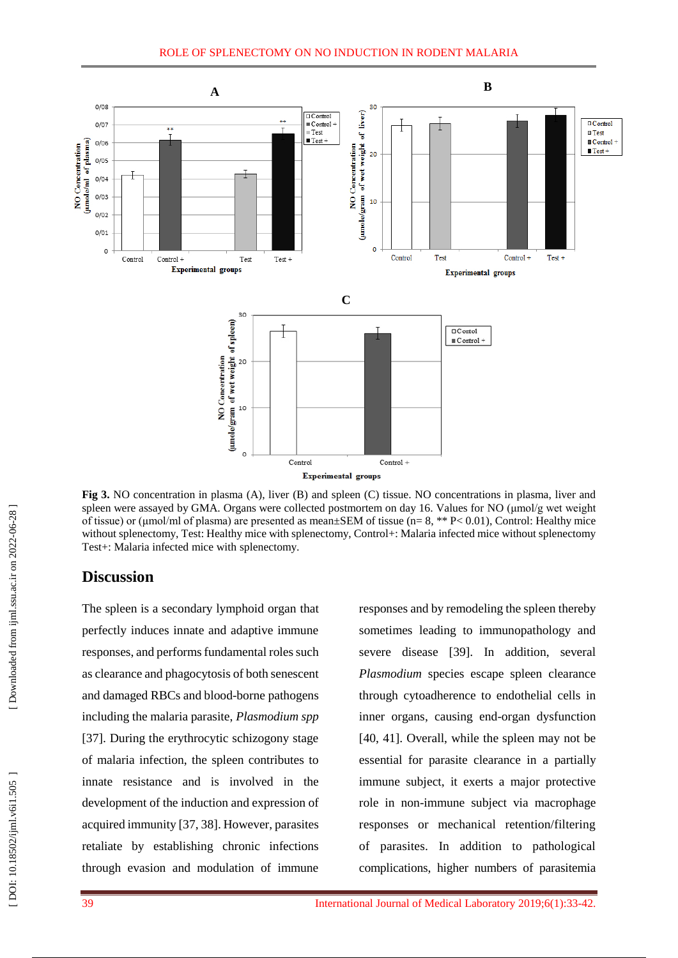

**Fig 3.** NO concentration in plasma (A), liver (B) and spleen (C) tissue. NO concentrations in plasma, liver and spleen were assayed by GMA. Organs were collected postmortem on day 16. Values for NO (μmol/g wet weight of tissue) or (μmol/ml of plasma) are presented as mean±SEM of tissue (n= 8, \*\* P< 0.01), Control: Healthy mice without splenectomy, Test: Healthy mice with splenectomy, Control+: Malaria infected mice without splenectomy Test+: Malaria infected mice with splenectomy.

## **Discussion**

The spleen is a secondary lymphoid organ that perfectly induces innate and adaptive immune responses, and performs fundamental roles such as clearance and phagocytosis of both senescent and damaged RBCs and blood -borne pathogens including the malaria parasite, *Plasmodium spp* [37]. During the erythrocytic schizogony stage of malaria infection, the spleen contributes to innate resistance and is involved in the development of the induction and expression of acquired immunity [37, 38]. However, parasites retaliate by establishing chronic infections through evasion and modulation of immune

responses and by remodeling the spleen thereby sometimes leading to immunopathology and severe disease [39]. In addition, several *Plasmodium* species escape spleen clearance through cytoadherence to endothelial cells in inner organs , causing end -organ dysfunction [40, 41]. Overall, while the spleen may not be essential for parasite clearance in a partially immune subject, it exerts a major protective role in non -immune subject via macrophage responses or mechanical retention/filtering of parasites. In addition to pathological complications, higher numbers of parasitemia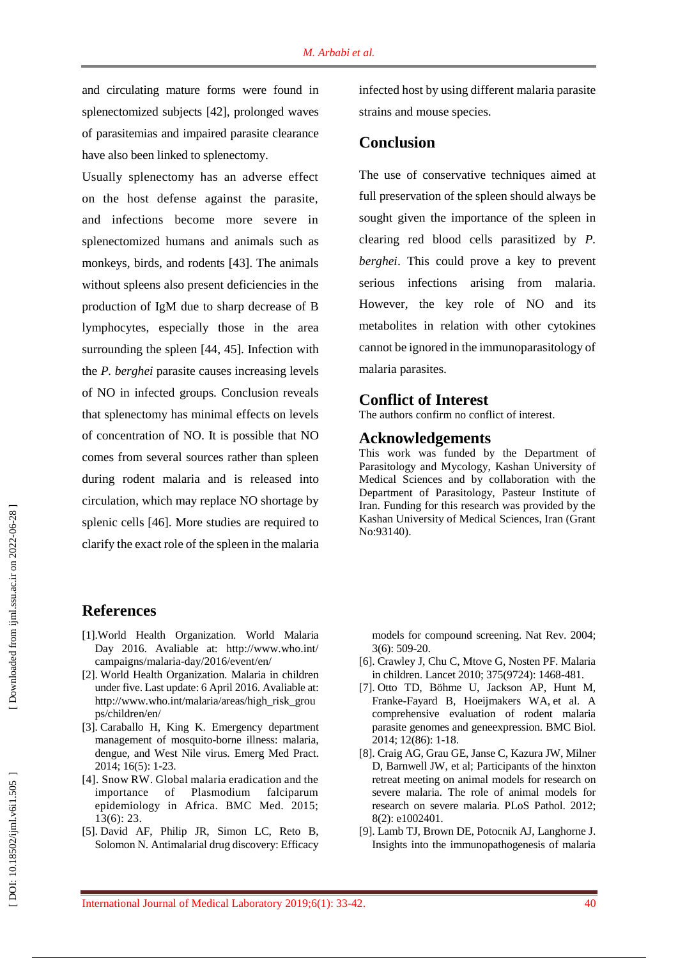and circulating mature forms were found in splenectomized subjects [42], prolonged waves of parasitemias and impaired parasite clearance have also been linked to splenectomy.

Usually splenectomy has an adverse effect on the host defense against the parasite, and infections become more severe in splenectomized humans and animals such as monkeys, birds, and rodents [43]. The animals without spleens also present deficiencies in the production of IgM due to sharp decrease of B lymphocytes , especially those in the area surrounding the spleen [44, 45]. Infection with the *P. berghei* parasite cause s increasing levels of NO in infected groups. Conclusion reveals that splenectomy has minimal effects on levels of concentration of NO. It is possible that NO comes from several sources rather than spleen during rodent malaria and is release d into circulation, which may replace NO shortage by splenic cells [46]. More studies are required to clarify the exact role of the spleen in the malaria

infected host by using different malaria parasite strains and mouse species.

## **Conclusion**

The use of conservative techniques aimed at full preservation of the spleen should always be sought given the importance of the spleen in clearing red blood cells parasitized by *P. berghei*. This could prove a key to prevent serious infections arising from malaria. However , the key role of NO and its metabolites in relation with other cytokines cannot be ignored in the immunoparasitology of malaria parasites.

## **Conflict of Interest**

The authors confirm no conflict of interest.

#### **Acknowledgements**

This work was funded by the Department of Parasitology and Mycology, Kashan University of Medical Sciences and by collaboration with the Department of Parasitology, Pasteur Institute of Iran. Funding for this research was provided by the Kashan University of Medical Sciences, Iran (Grant No:93140) .

### **References**

- [1].World Health Organization. World Malaria Day 2016. Avaliable at: [http://www.who.int/](http://www.who.int/%20campaigns/malaria-day/2016/event/en/)  campaigns/malaria [-day/2016/event/en/](http://www.who.int/%20campaigns/malaria-day/2016/event/en/)
- [ 2]. World Health Organization. Malaria in children under five. Last update: 6 April 2016. Avaliable at: [http://www.who.int/malaria/areas/high\\_risk\\_grou](http://www.who.int/malaria/areas/high_risk_groups/children/en/) [ps/children/en/](http://www.who.int/malaria/areas/high_risk_groups/children/en/)
- [ 3]. [Caraballo H,](http://www.ncbi.nlm.nih.gov/pubmed/?term=Caraballo%20H%5BAuthor%5D&cauthor=true&cauthor_uid=25207355) [King K.](http://www.ncbi.nlm.nih.gov/pubmed/?term=King%20K%5BAuthor%5D&cauthor=true&cauthor_uid=25207355) Emergency department management of mosquito -borne illness: malaria, dengue, and West Nile virus. [Emerg Med Pract.](http://www.ncbi.nlm.nih.gov/pubmed/?term=%22Emergency+department+management+of+mosquito-borne+illness%3A+Malaria%2C+dengue%2C+and+west+nile+virus) 2014; 16(5): 1 -23.
- [ 4]. [Snow RW.](http://www.ncbi.nlm.nih.gov/pubmed/?term=Snow%20RW%5BAuthor%5D&cauthor=true&cauthor_uid=25644195) Global malaria eradication and the importance of Plasmodium falciparum epidemiology in Africa. BMC Med. 2015; 13(6): 23.
- [ 5]. David AF, Philip JR, Simon LC, Reto B, Solomon N. Antimalarial drug discovery: Efficacy

models for compound screening. Nat Rev. 2004; 3(6): 509 -20.

- [ 6]. Crawley J, Chu C, Mtove G, Nosten PF. Malaria in children[. Lancet](http://www.ncbi.nlm.nih.gov/pubmed/15850634) 2010; 375(9724): 1468 -481.
- [ 7]. Otto TD, Böhme U, Jackson AP, Hunt M, Franke -Fayard B, Hoeijmakers WA, et al. A comprehensive evaluation of rodent malaria parasite genomes and geneexpression. BMC Biol. 2014; 12(86): 1 -18.
- [ 8]. Craig AG, Grau GE, Janse C, Kazura JW, Milner D, Barnwell JW, et al; Participants of the hinxton retreat meeting on animal models for research on severe malaria. The role of animal models for research on severe malaria. PLoS Pathol. 2012; 8(2): e1002401.
- [ 9]. Lamb TJ, Brown DE, Potocnik AJ, Langhorne J. Insights into the immunopathogenesis of malaria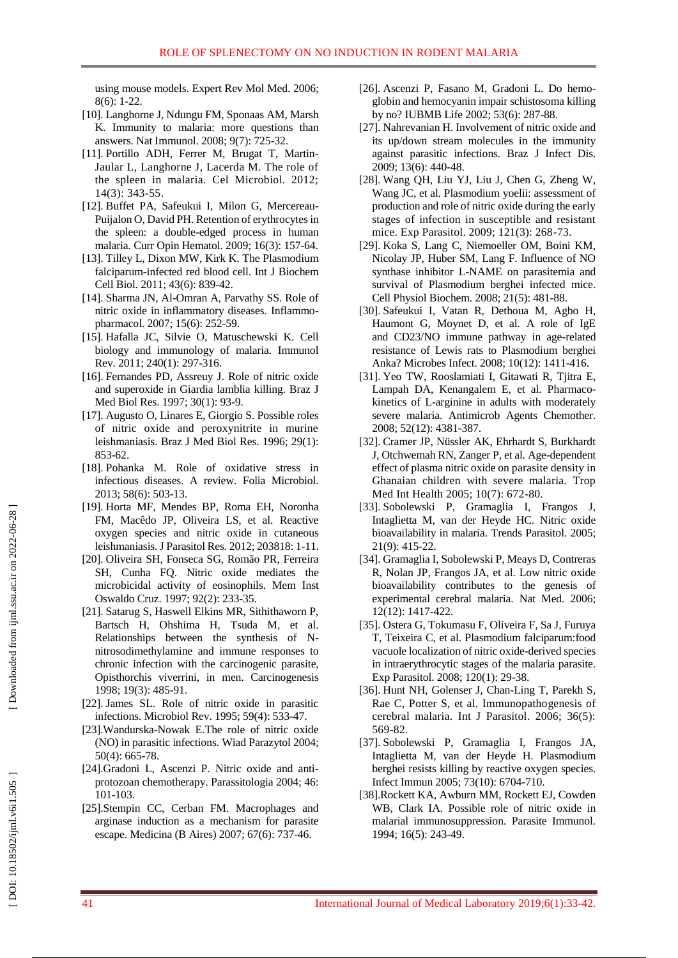using mouse models . Expert Rev Mol Med. 2006; 8(6): 1 -22 .

- [10]. Langhorne J, Ndungu FM, Sponaas AM, Marsh K. Immunity to malaria: more questions than answers. Nat Immunol. 2008; 9(7): 725 -32.
- [11]. Portillo ADH, Ferrer M, Brugat T, Martin Jaular L, Langhorne J, Lacerda M. The role of the spleen in malaria. Cel Microbiol. 2012; 14(3): 343 -55.
- [12]. Buffet PA, Safeukui I, Milon G, Mercereau Puijalon O, David PH. Retention of erythrocytes in the spleen: a double -edged process in human malaria. Curr Opin Hematol. 2009; 16(3): 157 -64.
- [13]. Tilley L, Dixon MW, Kirk K. The Plasmodium falciparum -infected red blood cell. Int J Biochem Cell Biol. 2011; 43(6): 839 -42.
- [14]. Sharma JN, Al -Omran A, Parvathy SS. Role of nitric oxide in inflammatory diseases. Inflammo pharmacol. 2007; 15(6): 252 -59.
- [15]. Hafalla JC, Silvie O, Matuschewski K. Cell biology and immunology of malaria. Immunol Rev. 2011; 240(1): 297 -316.
- [16]. Fernandes PD, Assreuy J. Role of nitric oxide and superoxide in Giardia lamblia killing. Braz J Med Biol Res. 1997; 30(1): 93 -9.
- [17]. Augusto O, Linares E, Giorgio S. Possible roles of nitric oxide and peroxynitrite in murine leishmaniasis. Braz J Med Biol Res. 1996; 29(1): 853 -62.
- [18]. Pohanka M. Role of oxidative stress in infectious diseases. A review. Folia Microbiol. 2013; 58(6): 503 -13.
- [19]. Horta MF, Mendes BP, Roma EH, Noronha FM, Macêdo JP, Oliveira LS, et al. Reactive oxygen species and nitric oxide in cutaneous leishmaniasis. J Parasitol Res. 2012; 203818: 1 -11.
- [20]. Oliveira SH, Fonseca SG, Romão PR, Ferreira SH, Cunha FQ. Nitric oxide mediates the microbicidal activity of eosinophils. Mem Inst Oswaldo Cruz. 1997; 92(2): 233 -35.
- [21]. Satarug S, Haswell Elkins MR, Sithithaworn P, Bartsch H, Ohshima H, Tsuda M, et al. Relationships between the synthesis of N nitrosodimethylamine and immune responses to chronic infection with the carcinogenic parasite, Opisthorchis viverrini, in men. Carcinogenesis 1998; 19(3): 485 -91.
- [22]. James SL. Role of nitric oxide in parasitic infections. Microbiol Rev. 1995; 59(4): 533 -47.
- [23].Wandurska -Nowak E.The role of nitric oxide (NO) in parasitic infections. [Wiad Parazytol](https://www.ncbi.nlm.nih.gov/pubmed/16862801) 2004; 50(4): 665 -78.
- [24].Gradoni L, Ascenzi P. Nitric oxide and anti protozoan chemotherapy. Parassitologia 2004; 46: 101 -103.
- [25].Stempin CC, Cerban FM. Macrophages and arginase induction as a mechanism for parasite escape. Medicina (B Aires) 2007; 67(6): 737 -46.
- [26]. Ascenzi P, Fasano M, Gradoni L. Do hemo globin and hemocyanin impair schistosoma killing by no? IUBMB Life 2002; 53(6): 287 -88.
- [27]. Nahrevanian H. Involvement of nitric oxide and its up/down stream molecules in the immunity against parasitic infections. Braz J Infect Dis. 2009; 13(6): 440 -48.
- [28]. Wang QH, Liu YJ, Liu J, Chen G, Zheng W, Wang JC, et al. Plasmodium yoelii: assessment of production and role of nitric oxide during the early stages of infection in susceptible and resistant mice. Exp Parasitol. 2009; 121(3): 268 -73.
- [29]. Koka S, Lang C, Niemoeller OM, Boini KM, Nicolay JP, Huber SM, Lang F. Influence of NO synthase inhibitor L -NAME on parasitemia and survival of Plasmodium berghei infected mice . Cell Physiol Biochem. 2008; 21(5): 481 -88.
- [30]. Safeukui I, Vatan R, Dethoua M, Agbo H, Haumont G, Moynet D, et al. A role of IgE and CD23/NO immune pathway in age -related resistance of Lewis rats to Plasmodium berghei Anka? Microbes Infect. 2008; 10(12): 1411 -416.
- [31]. Yeo TW, Rooslamiati I, Gitawati R, Tjitra E, Lampah DA, Kenangalem E, et al. Pharmacokinetics of L -arginine in adults with moderately severe malaria. Antimicrob Agents Chemother. 2008; 52(12): 4381 -387.
- [32]. Cramer JP, Nüssler AK, Ehrhardt S, Burkhardt J, Otchwemah RN, Zanger P, et al. Age -dependent effect of plasma nitric oxide on parasite density in Ghanaian children with severe malaria. Trop Med Int Health 2005; 10(7): 672 -80.
- [33]. Sobolewski P, Gramaglia I, Frangos J, Intaglietta M, van der Heyde HC. Nitric oxide bioavailability in malaria. Trends Parasitol. 2005; 21(9): 415 -22.
- [34]. Gramaglia I, Sobolewski P, Meays D, Contreras R, Nolan JP, Frangos JA, et al. Low nitric oxide bioavailability contributes to the genesis of experimental cerebral malaria. Nat Med. 2006; 12(12): 1417 -422.
- [35]. Ostera G, Tokumasu F, Oliveira F, Sa J, Furuya T, Teixeira C, et al. Plasmodium falciparum:food vacuole localization of nitric oxide -derived species in intraerythrocytic stages of the malaria parasite. Exp Parasitol. 2008; 120(1): 29 -38.
- [36]. Hunt NH, Golenser J, Chan -Ling T, Parekh S, Rae C, Potter S, et al. Immunopathogenesis of cerebral malaria. Int J Parasitol. 2006; 36(5): 569 -82.
- [37]. Sobolewski P, Gramaglia I, Frangos JA, Intaglietta M, van der Heyde H. Plasmodium berghei resists killing by reactive oxygen species. Infect Immun 2005; 73(10): 6704 -710.
- [38].Rockett KA, Awburn MM, Rockett EJ, Cowden WB, Clark IA. Possible role of nitric oxide in malarial immunosuppression. Parasite Immunol. 1994; 16(5): 243 -49.

DOI: 10.18502/ijml.v6i1.505